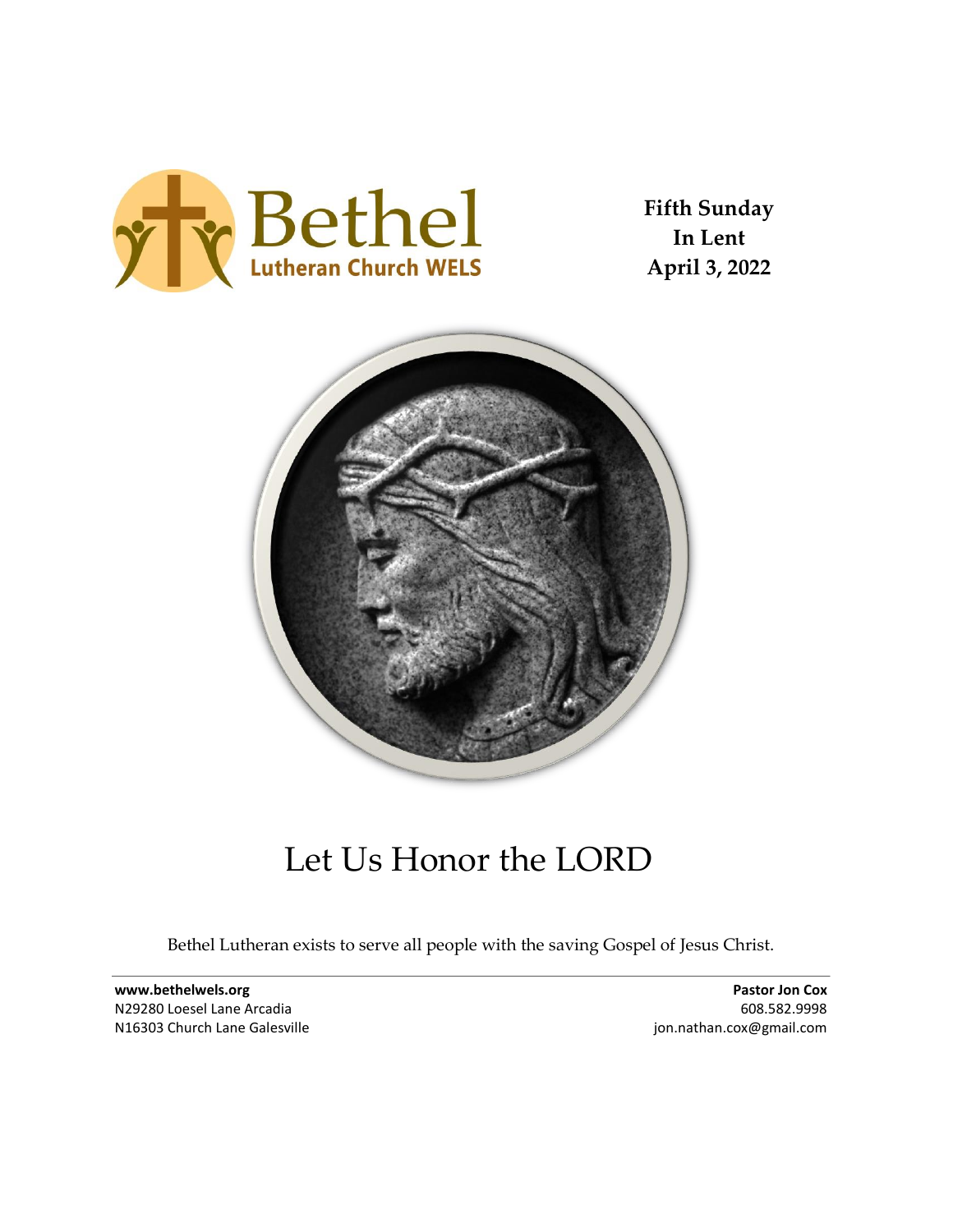

**Fifth Sunday In Lent April 3, 2022**



# Let Us Honor the LORD

Bethel Lutheran exists to serve all people with the saving Gospel of Jesus Christ.

**www.bethelwels.org** N29280 Loesel Lane Arcadia N16303 Church Lane Galesville

**Pastor Jon Cox** 608.582.9998 jon.nathan.cox@gmail.com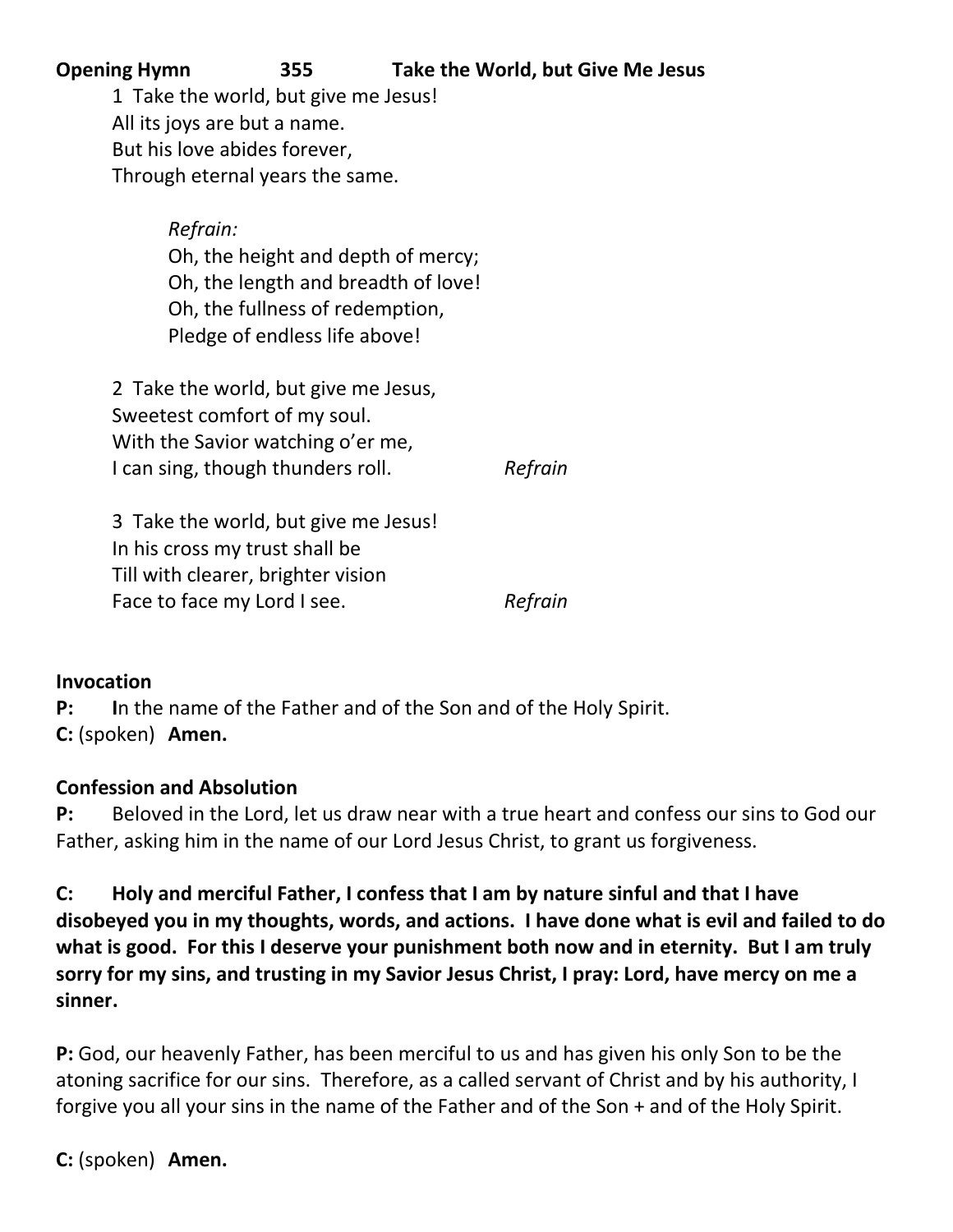| <b>Opening Hymn</b>            | 355                                  | Take the World, but Give Me Jesus |
|--------------------------------|--------------------------------------|-----------------------------------|
|                                | 1 Take the world, but give me Jesus! |                                   |
| All its joys are but a name.   |                                      |                                   |
| But his love abides forever,   |                                      |                                   |
|                                | Through eternal years the same.      |                                   |
| Refrain:                       |                                      |                                   |
|                                | Oh, the height and depth of mercy;   |                                   |
|                                | Oh, the length and breadth of love!  |                                   |
|                                | Oh, the fullness of redemption,      |                                   |
|                                | Pledge of endless life above!        |                                   |
|                                | 2 Take the world, but give me Jesus, |                                   |
|                                | Sweetest comfort of my soul.         |                                   |
|                                | With the Savior watching o'er me,    |                                   |
|                                | I can sing, though thunders roll.    | Refrain                           |
|                                | 3 Take the world, but give me Jesus! |                                   |
| In his cross my trust shall be |                                      |                                   |
|                                | Till with clearer, brighter vision   |                                   |

#### **Invocation**

**P: I**n the name of the Father and of the Son and of the Holy Spirit. **C:** (spoken) **Amen.**

Face to face my Lord I see. **Refrain** 

#### **Confession and Absolution**

**P:** Beloved in the Lord, let us draw near with a true heart and confess our sins to God our Father, asking him in the name of our Lord Jesus Christ, to grant us forgiveness.

**C: Holy and merciful Father, I confess that I am by nature sinful and that I have disobeyed you in my thoughts, words, and actions. I have done what is evil and failed to do what is good. For this I deserve your punishment both now and in eternity. But I am truly sorry for my sins, and trusting in my Savior Jesus Christ, I pray: Lord, have mercy on me a sinner.** 

**P:** God, our heavenly Father, has been merciful to us and has given his only Son to be the atoning sacrifice for our sins. Therefore, as a called servant of Christ and by his authority, I forgive you all your sins in the name of the Father and of the Son + and of the Holy Spirit.

**C:** (spoken) **Amen.**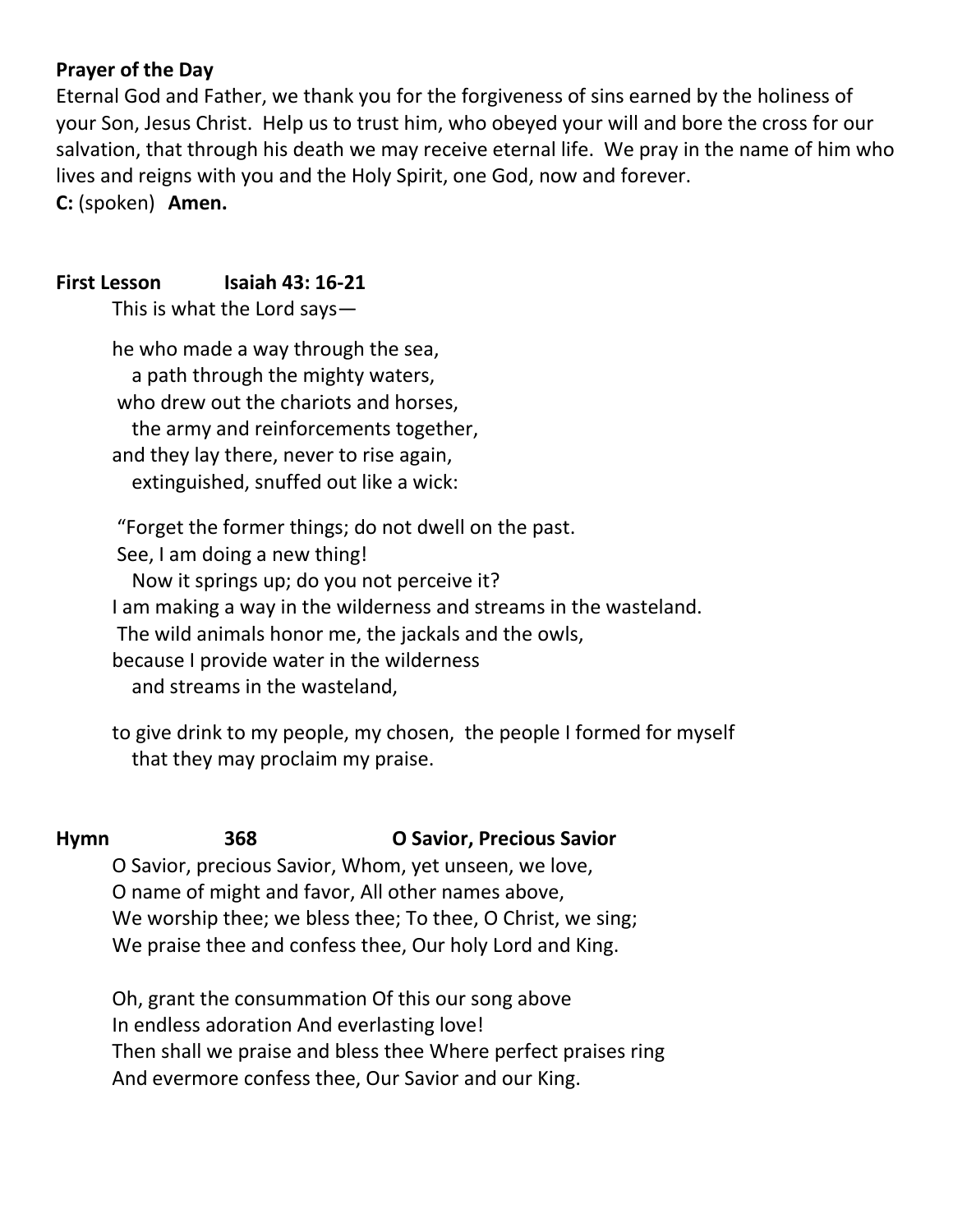### **Prayer of the Day**

Eternal God and Father, we thank you for the forgiveness of sins earned by the holiness of your Son, Jesus Christ. Help us to trust him, who obeyed your will and bore the cross for our salvation, that through his death we may receive eternal life. We pray in the name of him who lives and reigns with you and the Holy Spirit, one God, now and forever. **C:** (spoken) **Amen.**

#### **First Lesson Isaiah 43: 16-21**

This is what the Lord says—

he who made a way through the sea, a path through the mighty waters, who drew out the chariots and horses, the army and reinforcements together, and they lay there, never to rise again, extinguished, snuffed out like a wick:

"Forget the former things; do not dwell on the past. See, I am doing a new thing!

 Now it springs up; do you not perceive it? I am making a way in the wilderness and streams in the wasteland. The wild animals honor me, the jackals and the owls, because I provide water in the wilderness and streams in the wasteland,

to give drink to my people, my chosen, the people I formed for myself that they may proclaim my praise.

#### **Hymn 368 O Savior, Precious Savior**

O Savior, precious Savior, Whom, yet unseen, we love, O name of might and favor, All other names above, We worship thee; we bless thee; To thee, O Christ, we sing; We praise thee and confess thee, Our holy Lord and King.

Oh, grant the consummation Of this our song above In endless adoration And everlasting love! Then shall we praise and bless thee Where perfect praises ring And evermore confess thee, Our Savior and our King.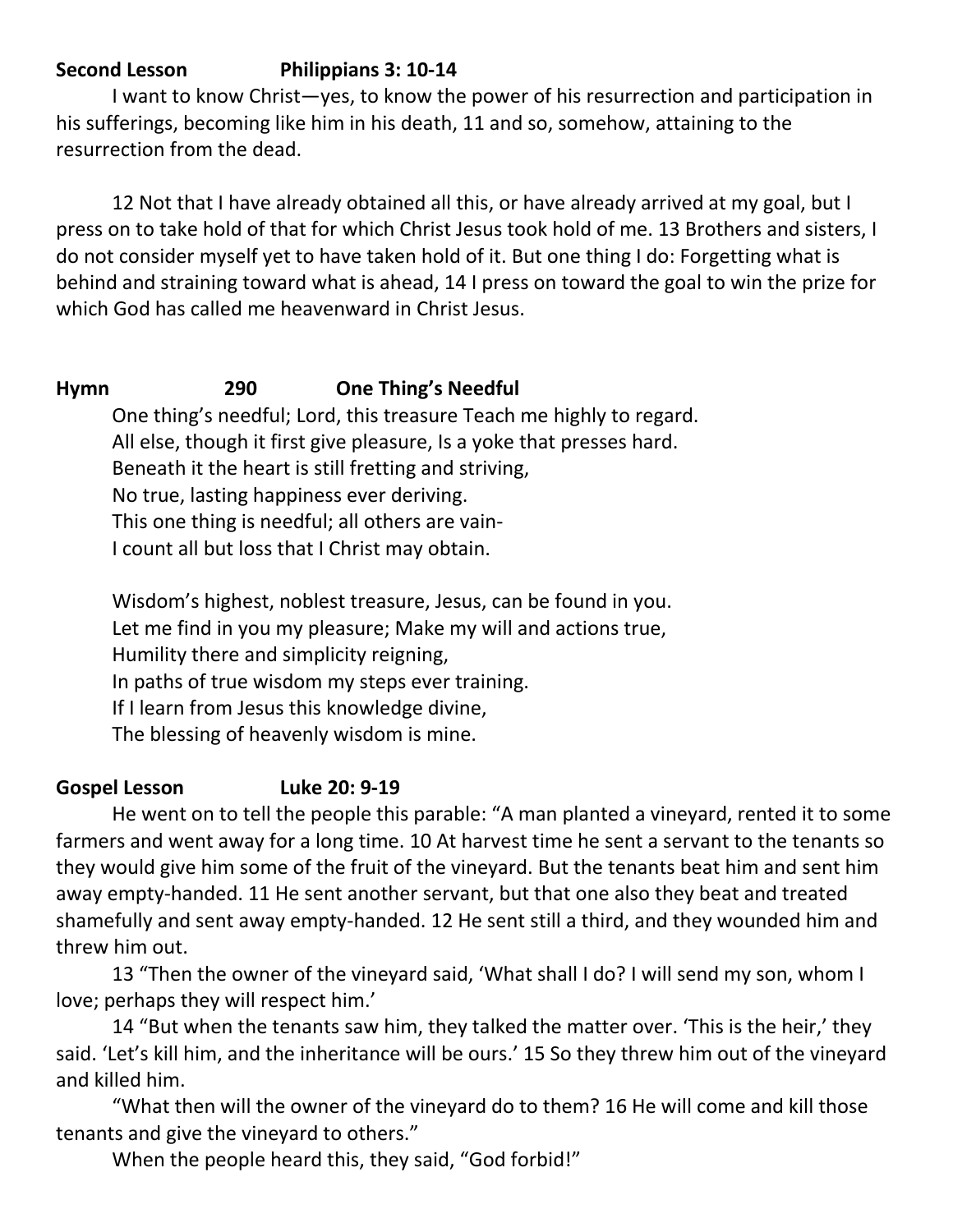## **Second Lesson Philippians 3: 10-14**

I want to know Christ—yes, to know the power of his resurrection and participation in his sufferings, becoming like him in his death, 11 and so, somehow, attaining to the resurrection from the dead.

12 Not that I have already obtained all this, or have already arrived at my goal, but I press on to take hold of that for which Christ Jesus took hold of me. 13 Brothers and sisters, I do not consider myself yet to have taken hold of it. But one thing I do: Forgetting what is behind and straining toward what is ahead, 14 I press on toward the goal to win the prize for which God has called me heavenward in Christ Jesus.

## **Hymn 290 One Thing's Needful**

One thing's needful; Lord, this treasure Teach me highly to regard. All else, though it first give pleasure, Is a yoke that presses hard. Beneath it the heart is still fretting and striving, No true, lasting happiness ever deriving. This one thing is needful; all others are vain-I count all but loss that I Christ may obtain.

Wisdom's highest, noblest treasure, Jesus, can be found in you. Let me find in you my pleasure; Make my will and actions true, Humility there and simplicity reigning, In paths of true wisdom my steps ever training. If I learn from Jesus this knowledge divine, The blessing of heavenly wisdom is mine.

## **Gospel Lesson Luke 20: 9-19**

He went on to tell the people this parable: "A man planted a vineyard, rented it to some farmers and went away for a long time. 10 At harvest time he sent a servant to the tenants so they would give him some of the fruit of the vineyard. But the tenants beat him and sent him away empty-handed. 11 He sent another servant, but that one also they beat and treated shamefully and sent away empty-handed. 12 He sent still a third, and they wounded him and threw him out.

13 "Then the owner of the vineyard said, 'What shall I do? I will send my son, whom I love; perhaps they will respect him.'

14 "But when the tenants saw him, they talked the matter over. 'This is the heir,' they said. 'Let's kill him, and the inheritance will be ours.' 15 So they threw him out of the vineyard and killed him.

"What then will the owner of the vineyard do to them? 16 He will come and kill those tenants and give the vineyard to others."

When the people heard this, they said, "God forbid!"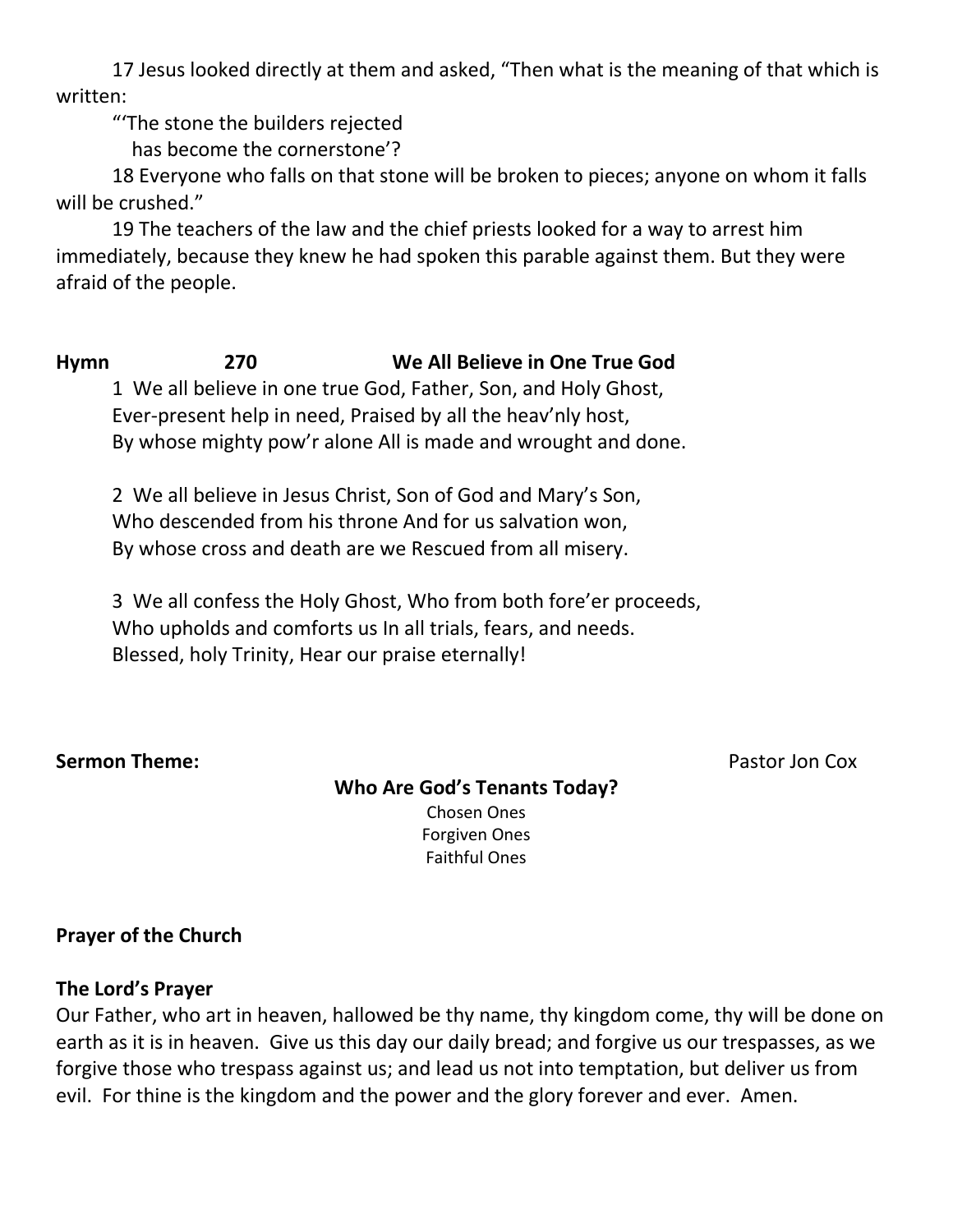17 Jesus looked directly at them and asked, "Then what is the meaning of that which is written:

"'The stone the builders rejected

has become the cornerstone'?

18 Everyone who falls on that stone will be broken to pieces; anyone on whom it falls will be crushed."

19 The teachers of the law and the chief priests looked for a way to arrest him immediately, because they knew he had spoken this parable against them. But they were afraid of the people.

**Hymn 270 We All Believe in One True God** 1 We all believe in one true God, Father, Son, and Holy Ghost, Ever-present help in need, Praised by all the heav'nly host,

By whose mighty pow'r alone All is made and wrought and done.

2 We all believe in Jesus Christ, Son of God and Mary's Son, Who descended from his throne And for us salvation won, By whose cross and death are we Rescued from all misery.

3 We all confess the Holy Ghost, Who from both fore'er proceeds, Who upholds and comforts us In all trials, fears, and needs. Blessed, holy Trinity, Hear our praise eternally!

#### **Sermon Theme: Pastor Jon Cox**

# **Who Are God's Tenants Today?**

Chosen Ones Forgiven Ones Faithful Ones

## **Prayer of the Church**

## **The Lord's Prayer**

Our Father, who art in heaven, hallowed be thy name, thy kingdom come, thy will be done on earth as it is in heaven. Give us this day our daily bread; and forgive us our trespasses, as we forgive those who trespass against us; and lead us not into temptation, but deliver us from evil. For thine is the kingdom and the power and the glory forever and ever. Amen.